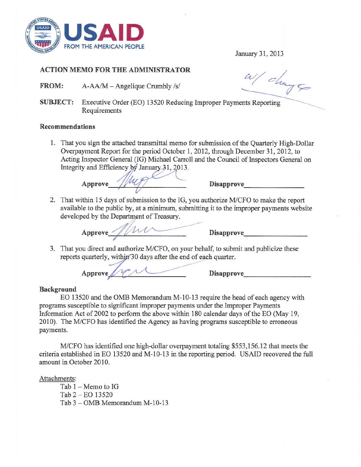

January 31,2013

# ACTION MEMO FOR THE ADMINISTRATOR

- FROM: A-AA/M Angelique Crumbly /s/
- SUBJECT: Executive Order (EO) 13520 Reducing Improper Payments Reporting Requirements

### **Recommendations**

1. That you sign the attached transmittal memo for submission of the Quarterly High-Dollar Overpayment Report for the period October 1,2012, through December 31, 2012, to Acting Inspector General (IG) Michael Carroll and the Council of Inspectors General on Integrity and Efficiency by January 31, 2013.

 $\text{Approve}\quad\text{Alley}\quad\text{Disapprove}\quad\text{Disapprove}$ 

2. That within 15 days of submission to the IG, you authorize *MlCFO* to make the report available to the public by. at a minimum, submitting it to the improper payments website developed by the Department of Treasury. Approve the public by, at a minimum, submitting it to the improper payments website<br>le to the public by, at a minimum, submitting it to the improper payments website<br>ed by the Department of Treasury.<br>Approve\_\_\_\_\_\_\_\_\_\_\_\_\_\_\_

3. That you direct and authorize M/CFO, on your behalf, to submit and publicize these Approve<br>That you direct and authorize M/CFO, on your behalf, to submit a<br>reports quarterly, within 30 days after the end of each quarter.<br>Approve

## **Background**

EO 13520 and the OMB Memorandum M-10-13 require the head of each agency with programs susceptible to significant improper payments under the Improper Payments Information Act of 2002 to perform the above within 180 calendar days of the EO (May 19, 2010). The M/CFO has identified the Agency as having programs susceptible to erroneous payments.

M1CFO has identified one high-dollar overpayment totaling \$553,156.12 that meets the criteria established in EO 13520 and M-I0-13 in the reporting period. USAJD recovered the full amount in October 2010.

Attachments:

Tab  $1 -$  Memo to IG Tab 2 - EO 13520 Tab 3 - OMB Memorandum M-10-13

W/ change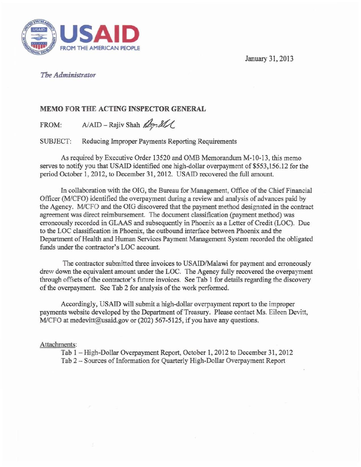January 31, 2013



## *The Administrator*

# MEMO FOR THE ACTING INSPECTOR GENERAL<br>FROM: A/AID – Rajiv Shah  $\mathbb{Z}$ 7. ILL

SUBJECT: Reducing Improper Payments Reporting Requirements

As required by Executive Order 13520 and OMB Memorandum M-10-13, this memo serves to notify you that USAID identified one high-dollar overpayment of \$553,156.12 for the period October 1, 2012, to December 31, 2012. USAID recovered the full amount.

In collaboration with the OIG, the Bureau for Management, Office of the Chief Financial Officer (MICFO) identified the overpayment during a review and analysis of advances paid by the Agency. M/CFO and the OIG discovered that the payment method designated in the contract agreement was direct reimbursement. The document classification (payment method) was erroneously recorded in GLAAS and subsequently in Phoenix as a Letter of Credit (LOC). Due to the LOC classification in Phoenix, the outbound interface between Phoenix and the Department of Health and Human Services Payment Management System recorded the obligated funds under the contractor's LOC account.

The contractor submitted three invoices to USAID/Malawi for payment and erroneously drew down the equivalent amount under the LOC. The Agency fully recovered the overpayment through offsets of the contractor's future invoices. See Tab 1 for details regarding the discovery of the overpayment. See Tab 2 for analysis of the work performed.

Accordingly. USAID will submit a high-dollar overpayment report to the improper payments website developed by the Department of Treasury. Please contact Ms. Eileen Devitt, *M/CFO at medevitt@usaid.gov or (202) 567-5125, if you have any questions.* 

## Attachments:

Tab 1 - High-Dollar Overpayment Report, October 1,2012 to December 31 , 2012 Tab 2 - Sources of Information for Quarterly High-Dollar Overpayment Report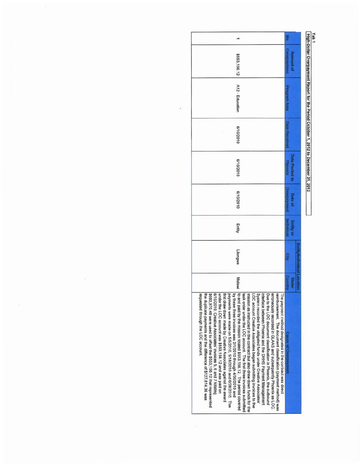| ı |  |                                     |
|---|--|-------------------------------------|
|   |  |                                     |
|   |  |                                     |
|   |  | . 1, 2012 to Decembr<br>IF 31, 2012 |

| \$553,156.12                                                                                                                                                                                                                                                                                                                                                                                                                                                                                                                                                                                                                                                                                                                                                                                                                                                                                                                                                                                                                                                                                                                                                                                   | <b>HREIARGUBAC</b><br>Amount of       |                            |
|------------------------------------------------------------------------------------------------------------------------------------------------------------------------------------------------------------------------------------------------------------------------------------------------------------------------------------------------------------------------------------------------------------------------------------------------------------------------------------------------------------------------------------------------------------------------------------------------------------------------------------------------------------------------------------------------------------------------------------------------------------------------------------------------------------------------------------------------------------------------------------------------------------------------------------------------------------------------------------------------------------------------------------------------------------------------------------------------------------------------------------------------------------------------------------------------|---------------------------------------|----------------------------|
| A12 - Education                                                                                                                                                                                                                                                                                                                                                                                                                                                                                                                                                                                                                                                                                                                                                                                                                                                                                                                                                                                                                                                                                                                                                                                | Personnelly Area                      |                            |
| 6/10/2010                                                                                                                                                                                                                                                                                                                                                                                                                                                                                                                                                                                                                                                                                                                                                                                                                                                                                                                                                                                                                                                                                                                                                                                      | <b>Date Renelund</b>                  |                            |
| 8/10/2010                                                                                                                                                                                                                                                                                                                                                                                                                                                                                                                                                                                                                                                                                                                                                                                                                                                                                                                                                                                                                                                                                                                                                                                      | <b>Date Posted in</b><br>Phoenix      |                            |
| 6/10/2010                                                                                                                                                                                                                                                                                                                                                                                                                                                                                                                                                                                                                                                                                                                                                                                                                                                                                                                                                                                                                                                                                                                                                                                      | Communication<br>Date of              |                            |
| Entity                                                                                                                                                                                                                                                                                                                                                                                                                                                                                                                                                                                                                                                                                                                                                                                                                                                                                                                                                                                                                                                                                                                                                                                         | <b>Individual</b><br><b>Entity</b> or |                            |
| Lilongwe                                                                                                                                                                                                                                                                                                                                                                                                                                                                                                                                                                                                                                                                                                                                                                                                                                                                                                                                                                                                                                                                                                                                                                                       | $\mathbf{r}$                          | <b>Individual Location</b> |
| <b>Malawi</b>                                                                                                                                                                                                                                                                                                                                                                                                                                                                                                                                                                                                                                                                                                                                                                                                                                                                                                                                                                                                                                                                                                                                                                                  | Country<br><b>State</b>               |                            |
| to and paid by the mission totaled \$553,156.12. The period covered<br>by these three invoices was 2/1/2010 through 4/30/2010 and<br>erroneously recorded in GLAAS and subsequently Phoenix as LOC.<br>System recorded the obligated funds under Creative Associates<br>interface between Phoenix and the DHHS Payment Management<br>reimbursement. The document classification (payment method) was<br>\$680,970.48 were used to offset the \$553,156.12 that represented<br>6/10/2010. Creative Associates' invoices 5, 6 and 7 totaling<br>task order under the LOC account. The first three invoices submitted<br>mission as instructed in the contract but also drew down funds for the<br>Due to the LOC document classification in Phoenix, the outbound<br>requested through the LOC account.<br>the duplicate payments and the difference of \$127,814.36 was<br>under the LOC account was \$553,156.12 and was paid on<br>payments were made on 5/5/2010, 5/18/2010 and 6/28/2010. The<br>LOC account Creative Associates began submitting invoices to the<br>rst draw down made by Creative Associates against the award<br>he payment method designated in the contract was direct | Cause of Overpayment                  |                            |

 $\tilde{\mathcal{H}}$  .

 $\%$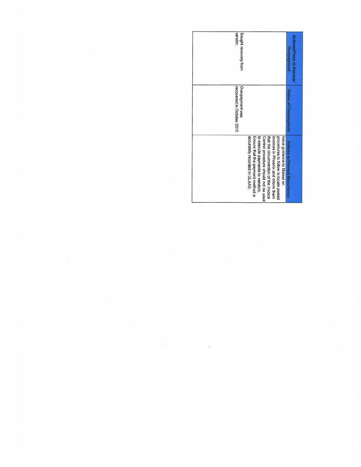| Sought recovery from<br>vendor.              |                                                                                                                                                                                                                                                                                                       | ions/Plans to Recove<br>MARTINGS |
|----------------------------------------------|-------------------------------------------------------------------------------------------------------------------------------------------------------------------------------------------------------------------------------------------------------------------------------------------------------|----------------------------------|
| recovered in October 2010<br>Overpayment was |                                                                                                                                                                                                                                                                                                       | <b>Statis of Dverger</b>         |
|                                              | accurately recorded in GLAAS.<br>to execute payments to vendors.<br>Control procedure should not be used<br>that the circumvention of the Invoice<br>invoices in Phoenix and inform them<br>Ensure that the payment method is<br>procedures to follow to locate posted<br>Issue guidance to Malawi on | Actions to Prevent Recurrence    |

 $\label{eq:3.1} \mathbf{W} = \mathbf{W} \times \mathbf{W}$ 

 $\sim$  100  $\,$